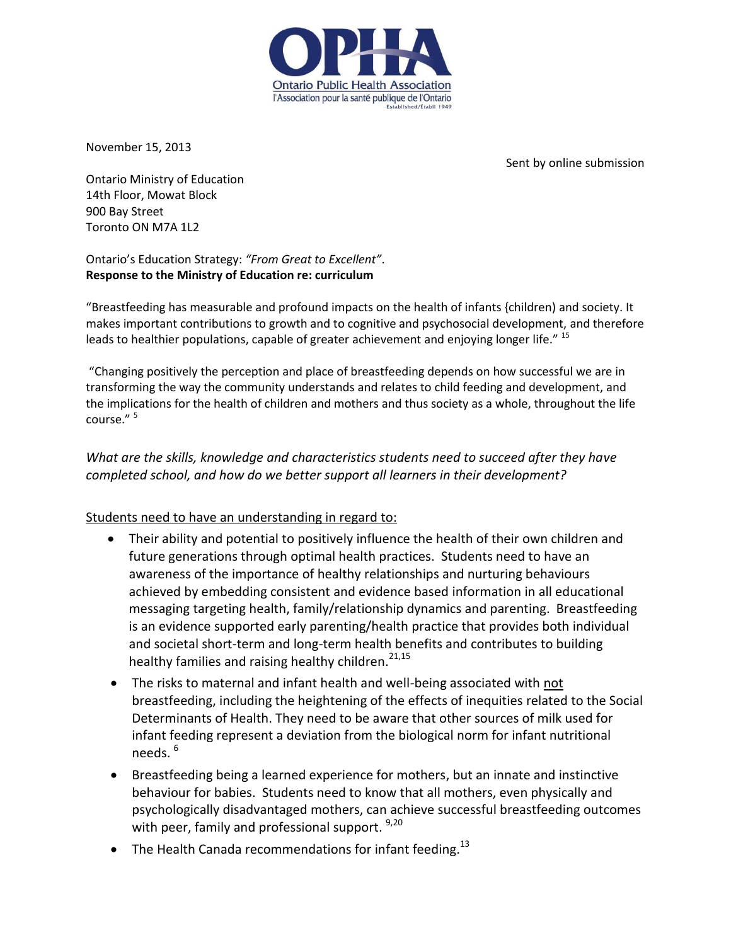

November 15, 2013

Sent by online submission

Ontario Ministry of Education 14th Floor, Mowat Block 900 Bay Street Toronto ON M7A 1L2

Ontario's Education Strategy: *"From Great to Excellent"*. **Response to the Ministry of Education re: curriculum** 

"Breastfeeding has measurable and profound impacts on the health of infants {children) and society. It makes important contributions to growth and to cognitive and psychosocial development, and therefore leads to healthier populations, capable of greater achievement and enjoying longer life." 15

"Changing positively the perception and place of breastfeeding depends on how successful we are in transforming the way the community understands and relates to child feeding and development, and the implications for the health of children and mothers and thus society as a whole, throughout the life course." <sup>5</sup>

*What are the skills, knowledge and characteristics students need to succeed after they have completed school, and how do we better support all learners in their development?*

### Students need to have an understanding in regard to:

- Their ability and potential to positively influence the health of their own children and future generations through optimal health practices. Students need to have an awareness of the importance of healthy relationships and nurturing behaviours achieved by embedding consistent and evidence based information in all educational messaging targeting health, family/relationship dynamics and parenting. Breastfeeding is an evidence supported early parenting/health practice that provides both individual and societal short-term and long-term health benefits and contributes to building healthy families and raising healthy children. $^{21,15}$
- The risks to maternal and infant health and well-being associated with not breastfeeding, including the heightening of the effects of inequities related to the Social Determinants of Health. They need to be aware that other sources of milk used for infant feeding represent a deviation from the biological norm for infant nutritional needs.<sup>6</sup>
- Breastfeeding being a learned experience for mothers, but an innate and instinctive behaviour for babies. Students need to know that all mothers, even physically and psychologically disadvantaged mothers, can achieve successful breastfeeding outcomes with peer, family and professional support. 9,20
- The Health Canada recommendations for infant feeding.<sup>13</sup>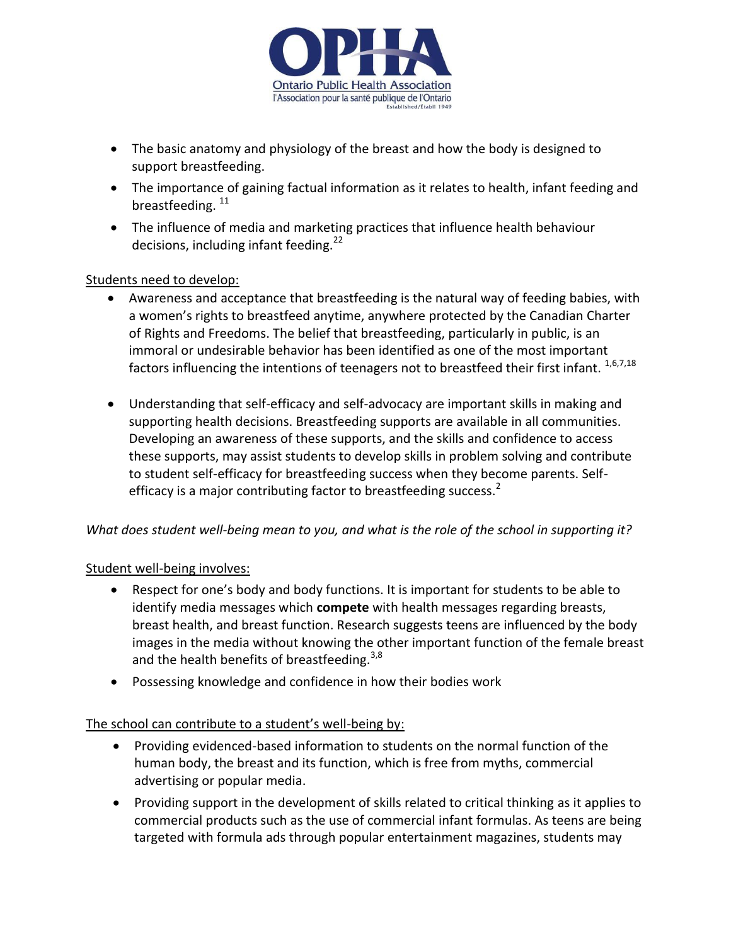

- The basic anatomy and physiology of the breast and how the body is designed to support breastfeeding.
- The importance of gaining factual information as it relates to health, infant feeding and breastfeeding.<sup>11</sup>
- The influence of media and marketing practices that influence health behaviour decisions, including infant feeding. $^{22}$

### Students need to develop:

- Awareness and acceptance that breastfeeding is the natural way of feeding babies, with a women's rights to breastfeed anytime, anywhere protected by the Canadian Charter of Rights and Freedoms. The belief that breastfeeding, particularly in public, is an immoral or undesirable behavior has been identified as one of the most important factors influencing the intentions of teenagers not to breastfeed their first infant. <sup>1,6,7,18</sup>
- Understanding that self-efficacy and self-advocacy are important skills in making and supporting health decisions. Breastfeeding supports are available in all communities. Developing an awareness of these supports, and the skills and confidence to access these supports, may assist students to develop skills in problem solving and contribute to student self-efficacy for breastfeeding success when they become parents. Selfefficacy is a major contributing factor to breastfeeding success. $^2$

### *What does student well-being mean to you, and what is the role of the school in supporting it?*

### Student well-being involves:

- Respect for one's body and body functions. It is important for students to be able to identify media messages which **compete** with health messages regarding breasts, breast health, and breast function. Research suggests teens are influenced by the body images in the media without knowing the other important function of the female breast and the health benefits of breastfeeding. $3,8$
- Possessing knowledge and confidence in how their bodies work

### The school can contribute to a student's well-being by:

- Providing evidenced-based information to students on the normal function of the human body, the breast and its function, which is free from myths, commercial advertising or popular media.
- Providing support in the development of skills related to critical thinking as it applies to commercial products such as the use of commercial infant formulas. As teens are being targeted with formula ads through popular entertainment magazines, students may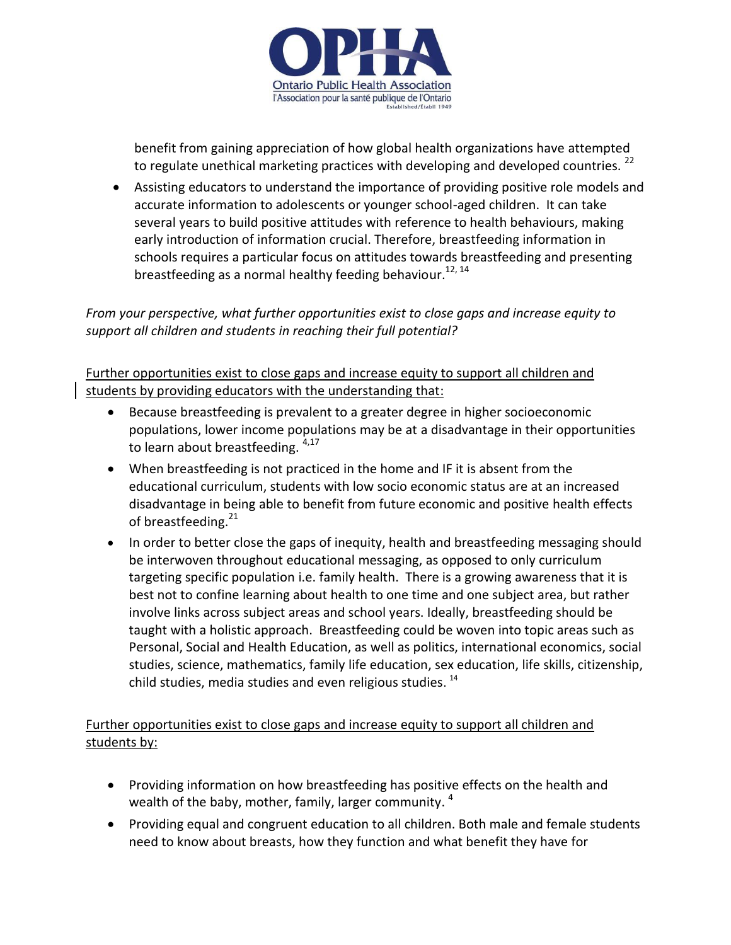

benefit from gaining appreciation of how global health organizations have attempted to regulate unethical marketing practices with developing and developed countries.<sup>22</sup>

 Assisting educators to understand the importance of providing positive role models and accurate information to adolescents or younger school-aged children. It can take several years to build positive attitudes with reference to health behaviours, making early introduction of information crucial. Therefore, breastfeeding information in schools requires a particular focus on attitudes towards breastfeeding and presenting breastfeeding as a normal healthy feeding behaviour.<sup>12, 14</sup>

## *From your perspective, what further opportunities exist to close gaps and increase equity to support all children and students in reaching their full potential?*

Further opportunities exist to close gaps and increase equity to support all children and students by providing educators with the understanding that:

- Because breastfeeding is prevalent to a greater degree in higher socioeconomic populations, lower income populations may be at a disadvantage in their opportunities to learn about breastfeeding.  $4,17$
- When breastfeeding is not practiced in the home and IF it is absent from the educational curriculum, students with low socio economic status are at an increased disadvantage in being able to benefit from future economic and positive health effects of breastfeeding.<sup>21</sup>
- In order to better close the gaps of inequity, health and breastfeeding messaging should be interwoven throughout educational messaging, as opposed to only curriculum targeting specific population i.e. family health. There is a growing awareness that it is best not to confine learning about health to one time and one subject area, but rather involve links across subject areas and school years. Ideally, breastfeeding should be taught with a holistic approach. Breastfeeding could be woven into topic areas such as Personal, Social and Health Education, as well as politics, international economics, social studies, science, mathematics, family life education, sex education, life skills, citizenship, child studies, media studies and even religious studies. <sup>14</sup>

# Further opportunities exist to close gaps and increase equity to support all children and students by:

- Providing information on how breastfeeding has positive effects on the health and wealth of the baby, mother, family, larger community.  $^4$
- Providing equal and congruent education to all children. Both male and female students need to know about breasts, how they function and what benefit they have for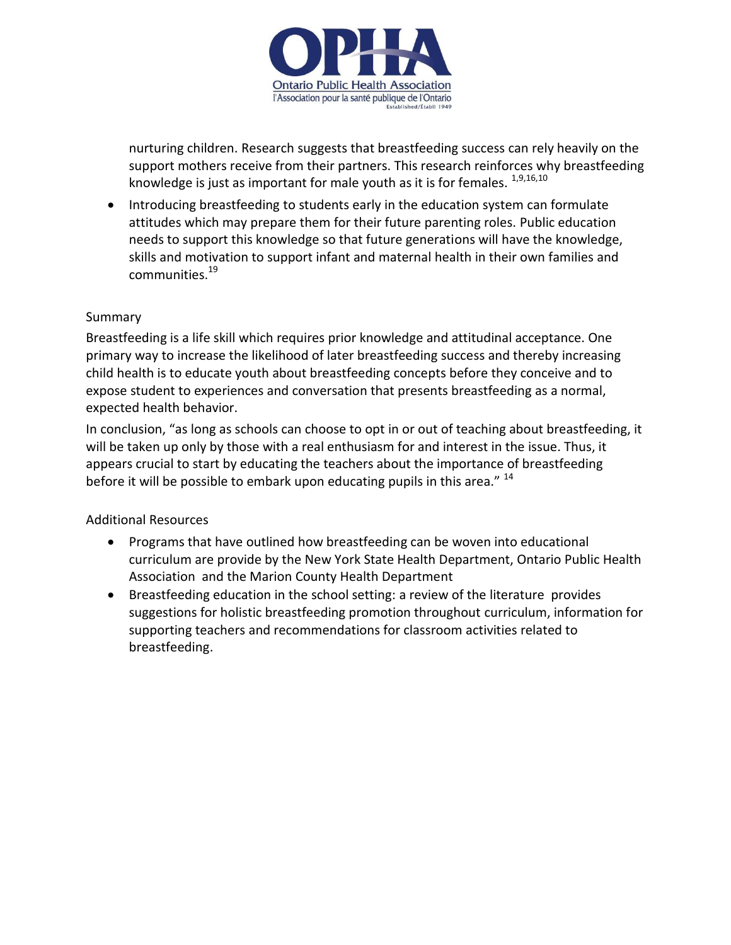

nurturing children. Research suggests that breastfeeding success can rely heavily on the support mothers receive from their partners. This research reinforces why breastfeeding knowledge is just as important for male youth as it is for females.  $^{1,9,16,10}$ 

• Introducing breastfeeding to students early in the education system can formulate attitudes which may prepare them for their future parenting roles. Public education needs to support this knowledge so that future generations will have the knowledge, skills and motivation to support infant and maternal health in their own families and communities.<sup>19</sup>

#### Summary

Breastfeeding is a life skill which requires prior knowledge and attitudinal acceptance. One primary way to increase the likelihood of later breastfeeding success and thereby increasing child health is to educate youth about breastfeeding concepts before they conceive and to expose student to experiences and conversation that presents breastfeeding as a normal, expected health behavior.

In conclusion, "as long as schools can choose to opt in or out of teaching about breastfeeding, it will be taken up only by those with a real enthusiasm for and interest in the issue. Thus, it appears crucial to start by educating the teachers about the importance of breastfeeding before it will be possible to embark upon educating pupils in this area." <sup>14</sup>

### Additional Resources

- Programs that have outlined how breastfeeding can be woven into educational curriculum are provide by the [New York State Health Department,](http://www.health.ny.gov/community/pregnancy/breastfeeding/education.htm) [Ontario Public Health](http://opha.on.ca/getmedia/5725dc8f-bc93-47da-8d61-6c23561e4e41/BF_Info-ActivityKit-May2009.aspx)  [Association](http://opha.on.ca/getmedia/5725dc8f-bc93-47da-8d61-6c23561e4e41/BF_Info-ActivityKit-May2009.aspx) and [the Marion County Health Department](http://www.mchd.com/breastfeeding_curriculum/acknow.html)
- [Breastfeeding education in the school setting:](http://www.healthpromotionagency.org.uk/Resources/breastfeeding/pdfs/Breastfeeding%20school2006.pdf) a review of the literature provides suggestions for holistic breastfeeding promotion throughout curriculum, information for supporting teachers and recommendations for classroom activities related to breastfeeding.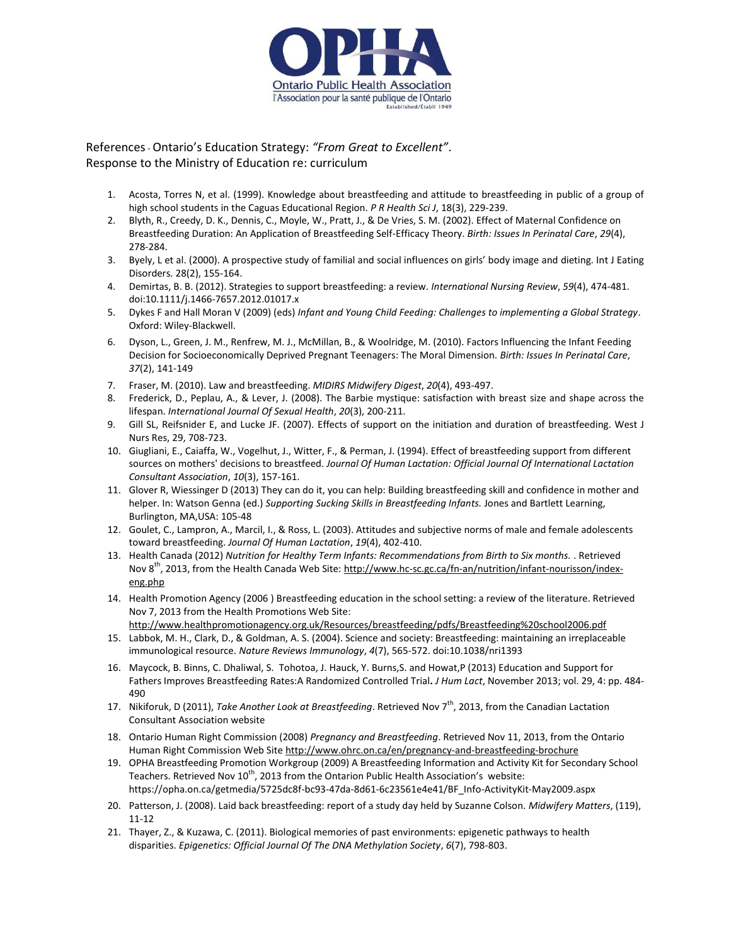

References- Ontario's Education Strategy: *"From Great to Excellent"*. Response to the Ministry of Education re: curriculum

- 1. Acosta, Torres N, et al. (1999). Knowledge about breastfeeding and attitude to breastfeeding in public of a group of high school students in the Caguas Educational Region. *P R Health Sci J*, 18(3), 229-239.
- 2. Blyth, R., Creedy, D. K., Dennis, C., Moyle, W., Pratt, J., & De Vries, S. M. (2002). Effect of Maternal Confidence on Breastfeeding Duration: An Application of Breastfeeding Self-Efficacy Theory. *Birth: Issues In Perinatal Care*, *29*(4), 278-284.
- 3. Byely, L et al. (2000). A prospective study of familial and social influences on girls' body image and dieting. Int J Eating Disorders. 28(2), 155-164.
- 4. Demirtas, B. B. (2012). Strategies to support breastfeeding: a review. *International Nursing Review*, *59*(4), 474-481. doi:10.1111/j.1466-7657.2012.01017.x
- 5. Dykes F and Hall Moran V (2009) (eds) *Infant and Young Child Feeding: Challenges to implementing a Global Strategy*. Oxford: Wiley-Blackwell.
- 6. Dyson, L., Green, J. M., Renfrew, M. J., McMillan, B., & Woolridge, M. (2010). Factors Influencing the Infant Feeding Decision for Socioeconomically Deprived Pregnant Teenagers: The Moral Dimension. *Birth: Issues In Perinatal Care*, *37*(2), 141-149
- 7. Fraser, M. (2010). Law and breastfeeding. *MIDIRS Midwifery Digest*, *20*(4), 493-497.
- 8. Frederick, D., Peplau, A., & Lever, J. (2008). The Barbie mystique: satisfaction with breast size and shape across the lifespan. *International Journal Of Sexual Health*, *20*(3), 200-211.
- 9. Gill SL, Reifsnider E, and Lucke JF. (2007). Effects of support on the initiation and duration of breastfeeding. West J Nurs Res, 29, 708-723.
- 10. Giugliani, E., Caiaffa, W., Vogelhut, J., Witter, F., & Perman, J. (1994). Effect of breastfeeding support from different sources on mothers' decisions to breastfeed. *Journal Of Human Lactation: Official Journal Of International Lactation Consultant Association*, *10*(3), 157-161.
- 11. Glover R, Wiessinger D (2013) They can do it, you can help: Building breastfeeding skill and confidence in mother and helper. In: Watson Genna (ed.) *Supporting Sucking Skills in Breastfeeding Infants.* Jones and Bartlett Learning, Burlington, MA,USA: 105-48
- 12. Goulet, C., Lampron, A., Marcil, I., & Ross, L. (2003). Attitudes and subjective norms of male and female adolescents toward breastfeeding. *Journal Of Human Lactation*, *19*(4), 402-410.
- 13. Health Canada (2012) *Nutrition for Healthy Term Infants: Recommendations from Birth to Six months.* . Retrieved Nov 8<sup>th</sup>, 2013, from the Health Canada Web Site: [http://www.hc-sc.gc.ca/fn-an/nutrition/infant-nourisson/index](http://www.hc-sc.gc.ca/fn-an/nutrition/infant-nourisson/index-eng.php)[eng.php](http://www.hc-sc.gc.ca/fn-an/nutrition/infant-nourisson/index-eng.php)
- 14. Health Promotion Agency (2006 ) Breastfeeding education in the school setting: a review of the literature. Retrieved Nov 7, 2013 from the Health Promotions Web Site: <http://www.healthpromotionagency.org.uk/Resources/breastfeeding/pdfs/Breastfeeding%20school2006.pdf>
- 15. Labbok, M. H., Clark, D., & Goldman, A. S. (2004). Science and society: Breastfeeding: maintaining an irreplaceable immunological resource. *Nature Reviews Immunology*, *4*(7), 565-572. doi:10.1038/nri1393
- 16. Maycock, B. Binns, C. Dhaliwal, S. Tohotoa, J. Hauck, Y. Burns,S. and Howat,P (2013) Education and Support for Fathers Improves Breastfeeding Rates:A Randomized Controlled Trial**.** *J Hum Lact*, November 2013; vol. 29, 4: pp. 484- 490
- 17. Nikiforuk, D (2011), *Take Another Look at Breastfeeding*. Retrieved Nov 7th, 2013, from the Canadian Lactation Consultant Association website
- 18. Ontario Human Right Commission (2008) *Pregnancy and Breastfeeding*. Retrieved Nov 11, 2013, from the Ontario Human Right Commission Web Sit[e http://www.ohrc.on.ca/en/pregnancy-and-breastfeeding-brochure](http://www.ohrc.on.ca/en/pregnancy-and-breastfeeding-brochure)
- 19. OPHA Breastfeeding Promotion Workgroup (2009) A Breastfeeding Information and Activity Kit for Secondary School Teachers. Retrieved Nov  $10^{th}$ , 2013 from the Ontarion Public Health Association's website: https://opha.on.ca/getmedia/5725dc8f-bc93-47da-8d61-6c23561e4e41/BF\_Info-ActivityKit-May2009.aspx
- 20. Patterson, J. (2008). Laid back breastfeeding: report of a study day held by Suzanne Colson. *Midwifery Matters*, (119), 11-12
- 21. Thayer, Z., & Kuzawa, C. (2011). Biological memories of past environments: epigenetic pathways to health disparities. *Epigenetics: Official Journal Of The DNA Methylation Society*, *6*(7), 798-803.